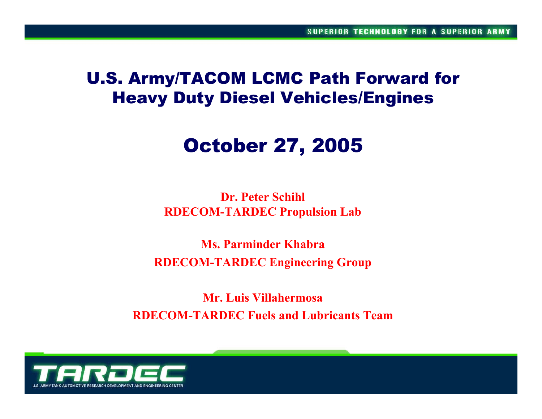## U.S. Army/TACOM LCMC Path Forward for Heavy Duty Diesel Vehicles/Engines

# October 27, 2005

**Dr. Peter SchihlRDECOM-TARDEC Propulsion Lab**

**Ms. Parminder KhabraRDECOM-TARDEC Engineering Group**

**Mr. Luis VillahermosaRDECOM-TARDEC Fuels and Lubricants Team**

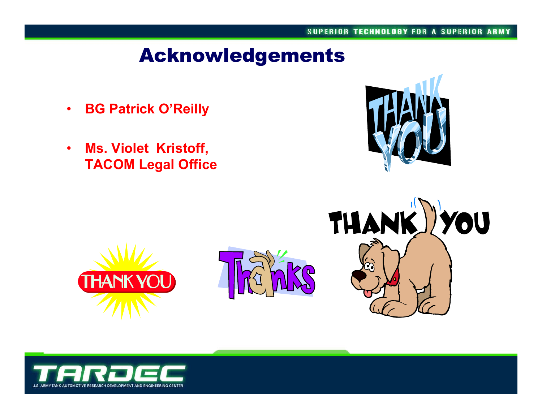# Acknowledgements

- $\bullet$ **BG Patrick O'Reilly**
- • **Ms. Violet Kristoff, TACOM Legal Office**





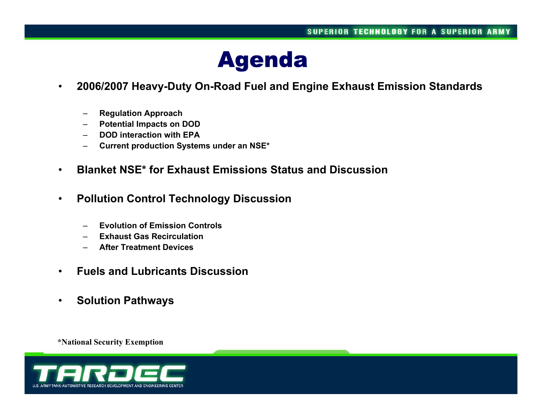

- • **2006/2007 Heavy-Duty On-Road Fuel and Engine Exhaust Emission Standards**
	- **Regulation Approach**
	- **Potential Impacts on DOD**
	- –**DOD interaction with EPA**
	- –**Current production Systems under an NSE\***
- •**Blanket NSE\* for Exhaust Emissions Status and Discussion**
- • **Pollution Control Technology Discussion**
	- **Evolution of Emission Controls**
	- –**Exhaust Gas Recirculation**
	- –**After Treatment Devices**
- •**Fuels and Lubricants Discussion**
- •**Solution Pathways**

**\*National Security Exemption**

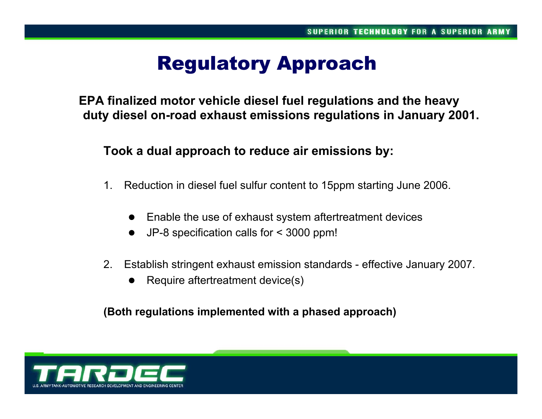# Regulatory Approach

**EPA finalized motor vehicle diesel fuel regulations and the heavy duty diesel on-road exhaust emissions regulations in January 2001.** 

**Took a dual approach to reduce air emissions by:**

- 1. Reduction in diesel fuel sulfur content to 15ppm starting June 2006.
	- $\bullet$ Enable the use of exhaust system aftertreatment devices
	- $\bullet$ JP-8 specification calls for < 3000 ppm!
- 2. Establish stringent exhaust emission standards effective January 2007.
	- $\bullet$ Require aftertreatment device(s)

**(Both regulations implemented with a phased approach)**

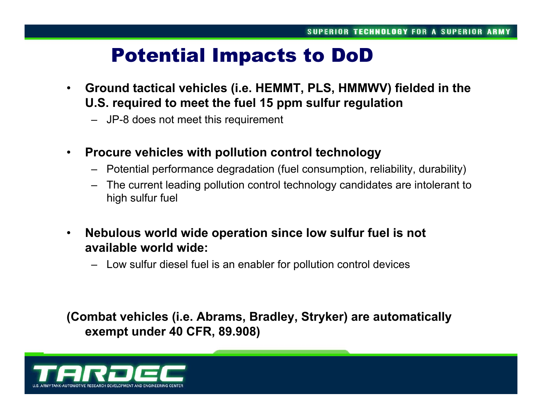# Potential Impacts to DoD

- $\bullet$  **Ground tactical vehicles (i.e. HEMMT, PLS, HMMWV) fielded in the U.S. required to meet the fuel 15 ppm sulfur regulation**
	- JP-8 does not meet this requirement
- $\bullet$  **Procure vehicles with pollution control technology**
	- Potential performance degradation (fuel consumption, reliability, durability)
	- – The current leading pollution control technology candidates are intolerant to high sulfur fuel
- • **Nebulous world wide operation since low sulfur fuel is not available world wide:**
	- Low sulfur diesel fuel is an enabler for pollution control devices

**(Combat vehicles (i.e. Abrams, Bradley, Stryker) are automatically exempt under 40 CFR, 89.908)**

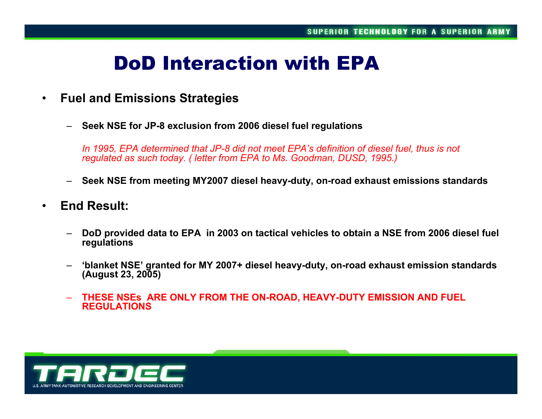# DoD Interaction with EPA

- $\bullet$  **Fuel and Emissions Strategies**
	- **Seek NSE for JP-8 exclusion from 2006 diesel fuel regulations**

*In 1995, EPA determined that JP-8 did not meet EPA's definition of diesel fuel, thus is not regulated as such today. ( letter from EPA to Ms. Goodman, DUSD, 1995.)*

- **Seek NSE from meeting MY2007 diesel heavy-duty, on-road exhaust emissions standards**
- • **End Result:** 
	- **DoD provided data to EPA in 2003 on tactical vehicles to obtain a NSE from 2006 diesel fuel regulations**
	- **'blanket NSE' granted for MY 2007+ diesel heavy-duty, on-road exhaust emission standards (August 23, 2005)**
	- – **THESE NSEs ARE ONLY FROM THE ON-ROAD, HEAVY-DUTY EMISSION AND FUEL REGULATIONS**

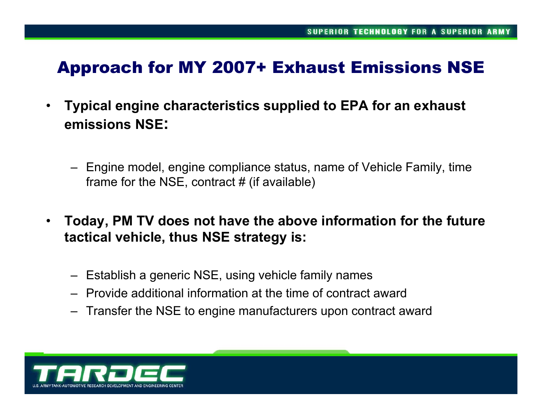## Approach for MY 2007+ Exhaust Emissions NSE

- • **Typical engine characteristics supplied to EPA for an exhaust emissions NSE:**
	- Engine model, engine compliance status, name of Vehicle Family, time frame for the NSE, contract  $#$  (if available)
- $\bullet$  **Today, PM TV does not have the above information for the future tactical vehicle, thus NSE strategy is:**
	- Establish a generic NSE, using vehicle family names
	- Provide additional information at the time of contract award
	- Transfer the NSE to engine manufacturers upon contract award

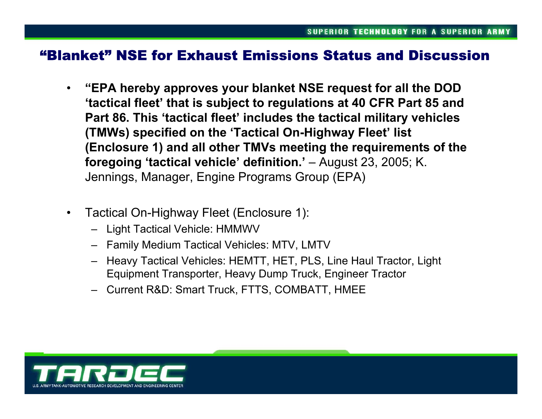#### "Blanket" NSE for Exhaust Emissions Status and Discussion

- • **"EPA hereby approves your blanket NSE request for all the DOD 'tactical fleet' that is subject to regulations at 40 CFR Part 85 and Part 86. This 'tactical fleet' includes the tactical military vehicles (TMWs) specified on the 'Tactical On-Highway Fleet' list (Enclosure 1) and all other TMVs meeting the requirements of the foregoing 'tactical vehicle' definition.'** – August 23, 2005; K. Jennings, Manager, Engine Programs Group (EPA)
- $\bullet$  Tactical On-Highway Fleet (Enclosure 1):
	- Light Tactical Vehicle: HMMWV
	- Family Medium Tactical Vehicles: MTV, LMTV
	- Heavy Tactical Vehicles: HEMTT, HET, PLS, Line Haul Tractor, Light Equipment Transporter, Heavy Dump Truck, Engineer Tractor
	- Current R&D: Smart Truck, FTTS, COMBATT, HMEE

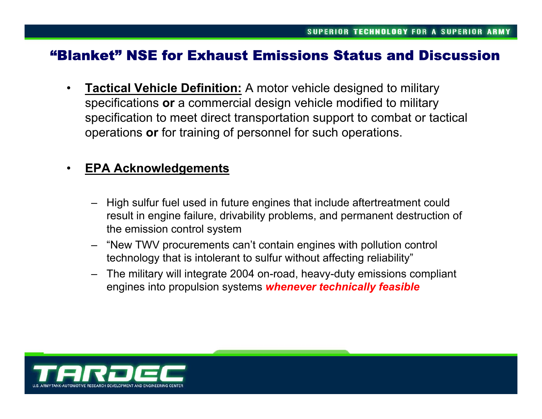#### "Blanket" NSE for Exhaust Emissions Status and Discussion

 $\bullet$  **Tactical Vehicle Definition:** A motor vehicle designed to military specifications **or** a commercial design vehicle modified to military specification to meet direct transportation support to combat or tactical operations **or** for training of personnel for such operations.

#### $\bullet$ **EPA Acknowledgements**

- High sulfur fuel used in future engines that include aftertreatment could result in engine failure, drivability problems, and permanent destruction of the emission control system
- – "New TWV procurements can't contain engines with pollution control technology that is intolerant to sulfur without affecting reliability"
- – The military will integrate 2004 on-road, heavy-duty emissions compliant engines into propulsion systems *whenever technically feasible*

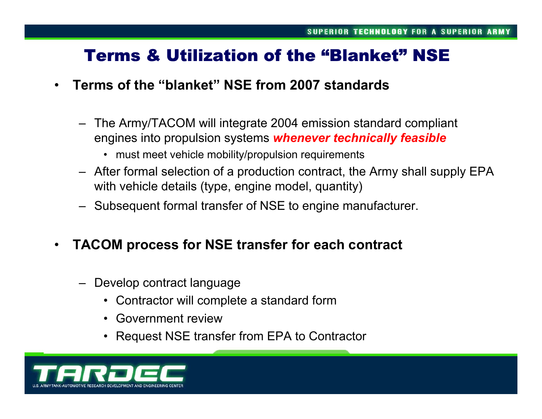## Terms & Utilization of the "Blanket" NSE

- • **Terms of the "blanket" NSE from 2007 standards**
	- – The Army/TACOM will integrate 2004 emission standard compliant engines into propulsion systems *whenever technically feasible*
		- must meet vehicle mobility/propulsion requirements
	- After formal selection of a production contract, the Army shall supply EPA with vehicle details (type, engine model, quantity)
	- Subsequent formal transfer of NSE to engine manufacturer.
- $\bullet$  **TACOM process for NSE transfer for each contract**
	- – Develop contract language
		- •Contractor will complete a standard form
		- Government review
		- •Request NSE transfer from EPA to Contractor

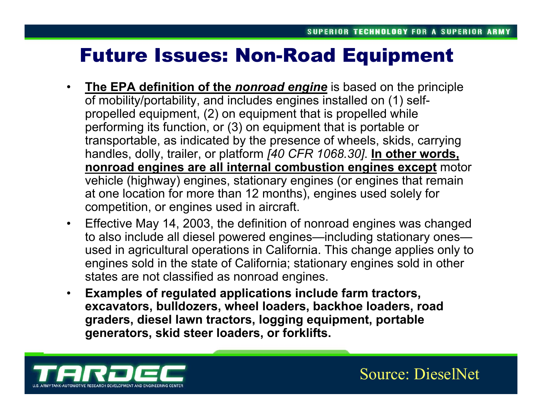# Future Issues: Non-Road Equipment

- $\bullet$  **The EPA definition of the** *nonroad engine* is based on the principle of mobility/portability, and includes engines installed on (1) selfpropelled equipment, (2) on equipment that is propelled while performing its function, or (3) on equipment that is portable or transportable, as indicated by the presence of wheels, skids, carrying handles, dolly, trailer, or platform *[40 CFR 1068.30]*. **In other words, nonroad engines are all internal combustion engines except** motor vehicle (highway) engines, stationary engines (or engines that remain at one location for more than 12 months), engines used solely for competition, or engines used in aircraft.
- $\bullet$  Effective May 14, 2003, the definition of nonroad engines was changed to also include all diesel powered engines—including stationary ones used in agricultural operations in California. This change applies only to engines sold in the state of California; stationary engines sold in other states are not classified as nonroad engines.
- • **Examples of regulated applications include farm tractors, excavators, bulldozers, wheel loaders, backhoe loaders, road graders, diesel lawn tractors, logging equipment, portable generators, skid steer loaders, or forklifts.**



Source: DieselNet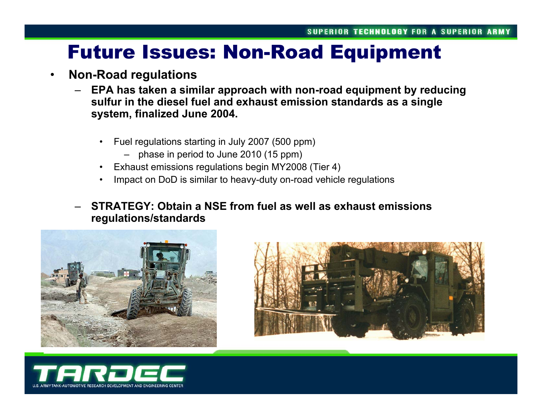# Future Issues: Non-Road Equipment

#### •**Non-Road regulations**

- – **EPA has taken a similar approach with non-road equipment by reducing sulfur in the diesel fuel and exhaust emission standards as a single system, finalized June 2004.**
	- • Fuel regulations starting in July 2007 (500 ppm)
		- phase in period to June 2010 (15 ppm)
	- •Exhaust emissions regulations begin MY2008 (Tier 4)
	- •Impact on DoD is similar to heavy-duty on-road vehicle regulations
- – **STRATEGY: Obtain a NSE from fuel as well as exhaust emissions regulations/standards**





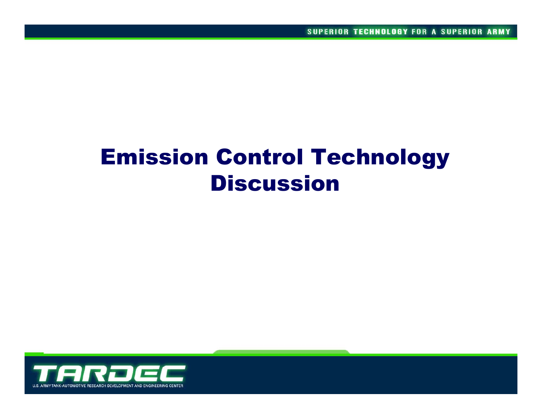# Emission Control Technology Discussion

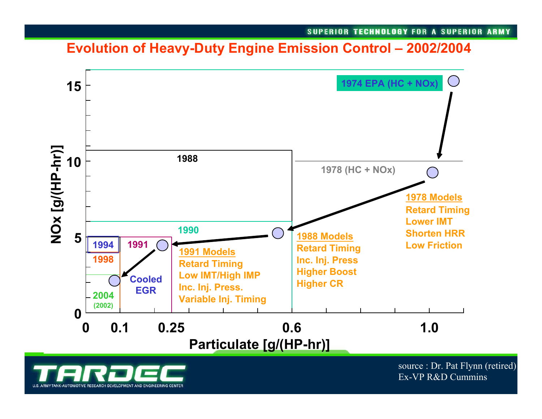### **Evolution of Heavy-Duty Engine Emission Control – 2002/2004**



NK-AUTOMOTIVE RESEARCH DEVELOPMENT AND ENGINEERING CENTER

source : Dr. Pat Flynn (retired) Ex-VP R&D Cummins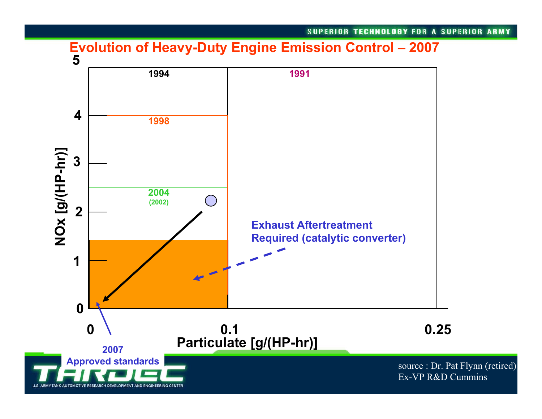#### **Evolution of Heavy-Duty Engine Emission Control – 2007**

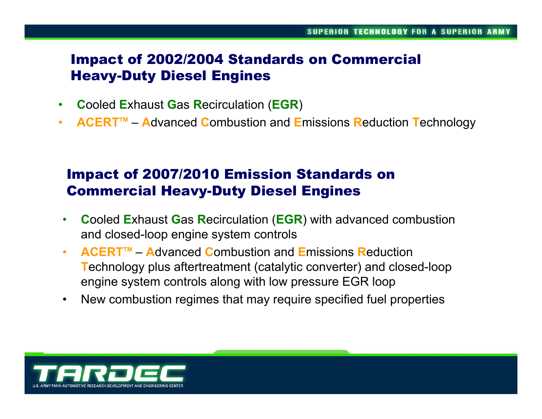### Impact of 2002/2004 Standards on Commercial Heavy-Duty Diesel Engines

- $\bullet$ **C**ooled **E**xhaust **G**as **R**ecirculation (**EGR**)
- $\bullet$ **• ACERT™** – Advanced Combustion and Emissions Reduction Technology

## Impact of 2007/2010 Emission Standards on Commercial Heavy-Duty Diesel Engines

- $\bullet$  **C**ooled **E**xhaust **G**as **R**ecirculation (**EGR**) with advanced combustion and closed-loop engine system controls
- $\bullet$  **ACERTTM** –**A**dvanced **C**ombustion and **E**missions **R**eduction **T**echnology plus aftertreatment (catalytic converter) and closed-loop engine system controls along with low pressure EGR loop
- $\bullet$ New combustion regimes that may require specified fuel properties

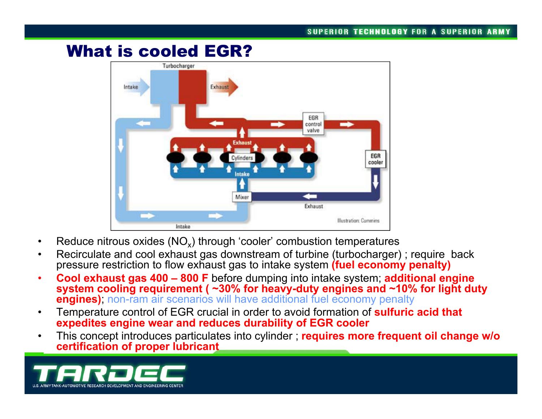## What is cooled EGR?



- •Reduce nitrous oxides ( $NO_x$ ) through 'cooler' combustion temperatures
- • Recirculate and cool exhaust gas downstream of turbine (turbocharger) ; require back pressure restriction to flow exhaust gas to intake system **(fuel economy penalty)**
- • **Cool exhaust gas 400 – 800 F** before dumping into intake system; **additional engine system cooling requirement ( ~30% for heavy-duty engines and ~10% for light duty engines)**; non-ram air scenarios will have additional fuel economy penalty
- • Temperature control of EGR crucial in order to avoid formation of **sulfuric acid that expedites engine wear and reduces durability of EGR cooler**
- • This concept introduces particulates into cylinder ; **requires more frequent oil change w/o certification of proper lubricant**

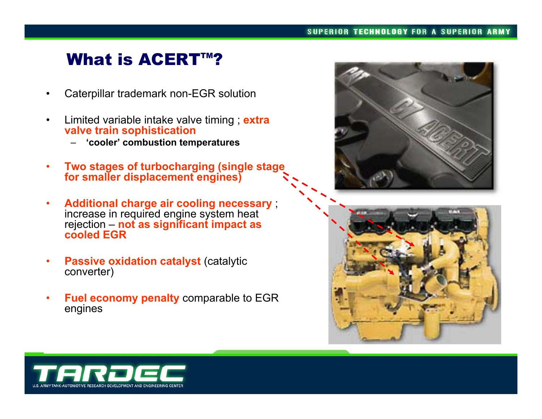## What is ACERT™?

- •Caterpillar trademark non-EGR solution
- • Limited variable intake valve timing ; **extra valve train sophistication**
	- **'cooler' combustion temperatures**
- $\bullet$  **Two stages of turbocharging (single stage for smaller displacement engines)**
- • **Additional charge air cooling necessary** ; increase in required engine system heat rejection – **not as significant impact as cooled EGR**
- • **Passive oxidation catalyst** (catalytic converter)
- • **Fuel economy penalty** comparable to EGR engines





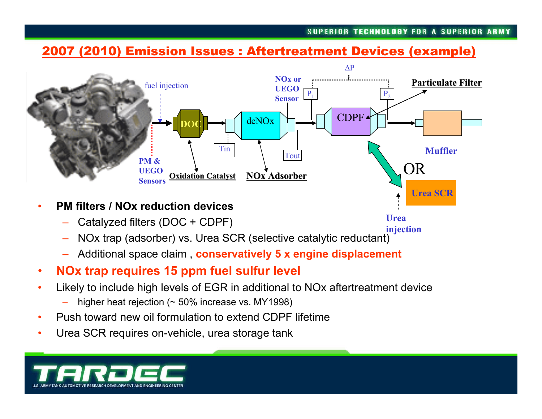**Urea** 

#### 2007 (2010) Emission Issues : Aftertreatment Devices (example)



- • **PM filters / NOx reduction devices**
	- Catalyzed filters (DOC + CDPF)
	- NOx trap (adsorber) vs. Urea SCR (selective catalytic reductant) **injection**
	- –Additional space claim , **conservatively 5 x engine displacement**
- •**NOx trap requires 15 ppm fuel sulfur level**
- • Likely to include high levels of EGR in additional to NOx aftertreatment device
	- higher heat rejection (~ 50% increase vs. MY1998)
- •Push toward new oil formulation to extend CDPF lifetime
- •Urea SCR requires on-vehicle, urea storage tank

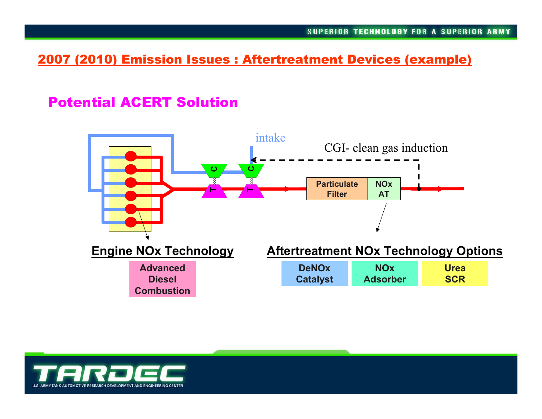#### 2007 (2010) Emission Issues : Aftertreatment Devices (example)

### Potential ACERT Solution



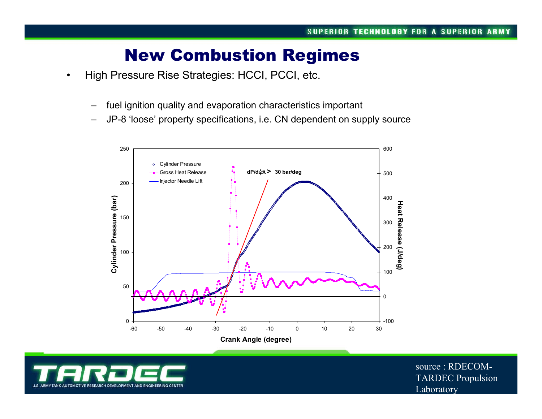## New Combustion Regimes

- • High Pressure Rise Strategies: HCCI, PCCI, etc.
	- fuel ignition quality and evaporation characteristics important
	- JP-8 'loose' property specifications, i.e. CN dependent on supply source





source : RDECOM-TARDEC Propulsion Laboratory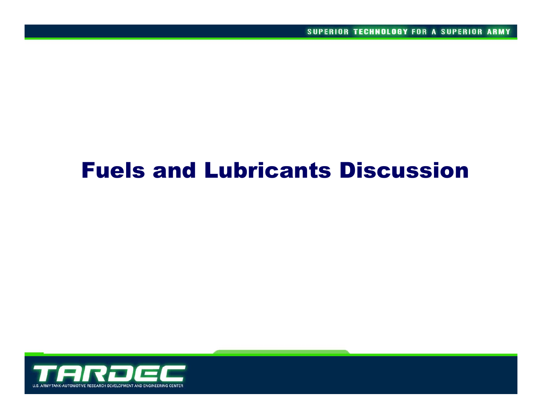# Fuels and Lubricants Discussion

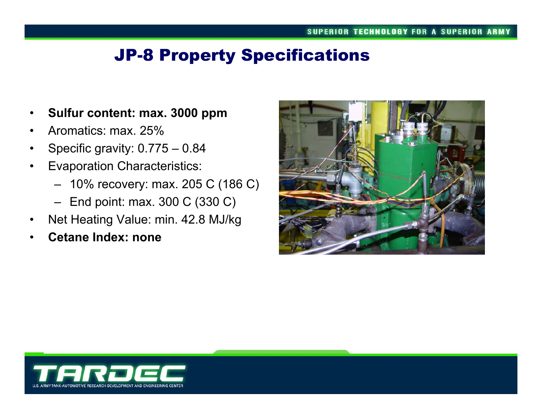## JP-8 Property Specifications

- •**Sulfur content: max. 3000 ppm**
- •Aromatics: max. 25%
- •Specific gravity: 0.775 – 0.84
- • Evaporation Characteristics:
	- 10% recovery: max. 205 C (186 C)
	- End point: max. 300 C (330 C)
- •Net Heating Value: min. 42.8 MJ/kg
- •**Cetane Index: none**



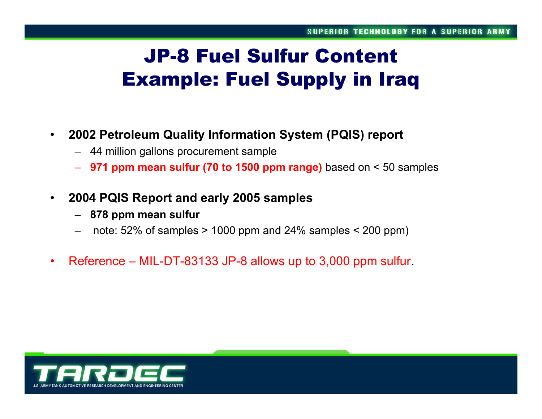# JP-8 Fuel Sulfur ContentExample: Fuel Supply in Iraq

#### •**2002 Petroleum Quality Information System (PQIS) report**

- 44 million gallons procurement sample
- **971 ppm mean sulfur (70 to 1500 ppm range)** based on < 50 samples
- • **2004 PQIS Report and early 2005 samples**
	- **878 ppm mean sulfur**
	- –note: 52% of samples > 1000 ppm and 24% samples < 200 ppm)
- •Reference – MIL-DT-83133 JP-8 allows up to 3,000 ppm sulfur.

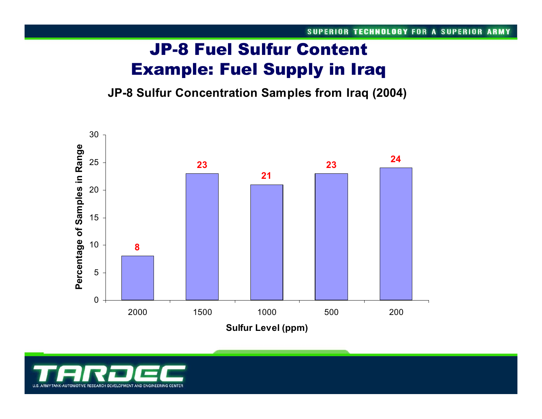# JP-8 Fuel Sulfur Content Example: Fuel Supply in Iraq

**JP-8 Sulfur Concentration Samples from Iraq (2004)**



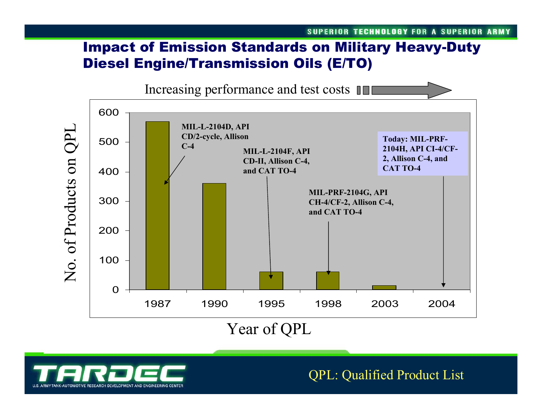## Impact of Emission Standards on Military Heavy-Duty Diesel Engine/Transmission Oils (E/TO)



AUTOMOTIVE RESEARCH DEVELOPMENT AND ENGINEERING CENTER

QPL: Qualified Product List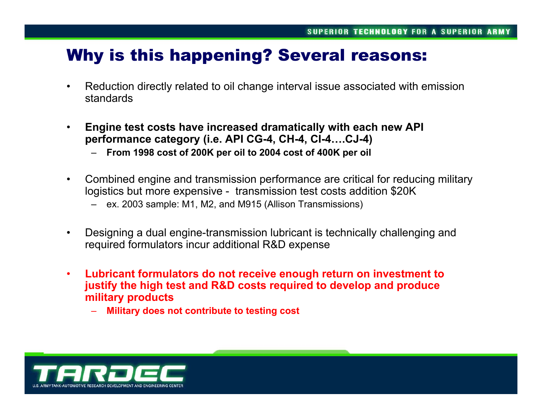## Why is this happening? Several reasons:

- • Reduction directly related to oil change interval issue associated with emission standards
- $\bullet$  **Engine test costs have increased dramatically with each new API performance category (i.e. API CG-4, CH-4, CI-4….CJ-4)**
	- **From 1998 cost of 200K per oil to 2004 cost of 400K per oil**
- $\bullet$  Combined engine and transmission performance are critical for reducing military logistics but more expensive - transmission test costs addition \$20K
	- ex. 2003 sample: M1, M2, and M915 (Allison Transmissions)
- • Designing a dual engine-transmission lubricant is technically challenging and required formulators incur additional R&D expense
- • **Lubricant formulators do not receive enough return on investment to justify the high test and R&D costs required to develop and produce military products**
	- **Military does not contribute to testing cost**

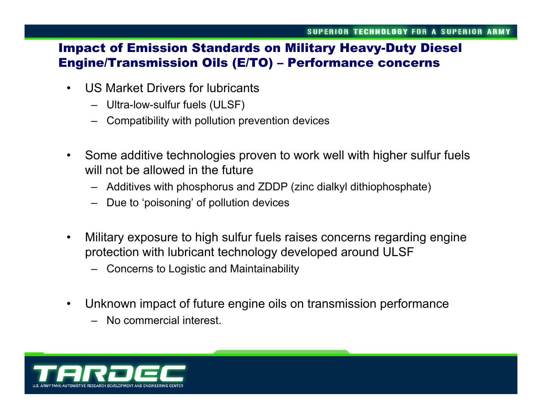#### Impact of Emission Standards on Military Heavy-Duty Diesel Engine/Transmission Oils (E/TO) – Performance concerns

- $\bullet$  US Market Drivers for lubricants
	- –Ultra-low-sulfur fuels (ULSF)
	- –Compatibility with pollution prevention devices
- $\bullet$  Some additive technologies proven to work well with higher sulfur fuels will not be allowed in the future
	- Additives with phosphorus and ZDDP (zinc dialkyl dithiophosphate)
	- Due to 'poisoning' of pollution devices
- $\bullet$  Military exposure to high sulfur fuels raises concerns regarding engine protection with lubricant technology developed around ULSF
	- Concerns to Logistic and Maintainability
- • Unknown impact of future engine oils on transmission performance
	- No commercial interest.

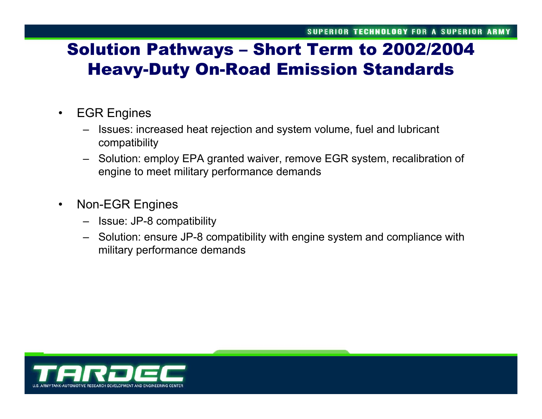# Solution Pathways – Short Term to 2002/2004 Heavy-Duty On-Road Emission Standards

#### $\bullet$ EGR Engines

- – Issues: increased heat rejection and system volume, fuel and lubricant compatibility
- Solution: employ EPA granted waiver, remove EGR system, recalibration of engine to meet military performance demands
- $\bullet$  Non-EGR Engines
	- Issue: JP-8 compatibility
	- Solution: ensure JP-8 compatibility with engine system and compliance with military performance demands

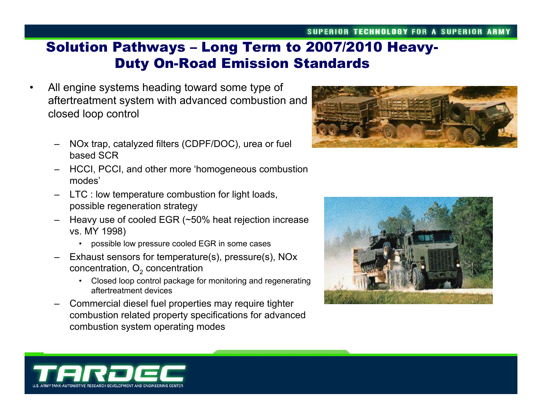## Solution Pathways – Long Term to 2007/2010 Heavy-Duty On-Road Emission Standards

- All engine systems heading toward some type of aftertreatment system with advanced combustion and closed loop control
	- NOx trap, catalyzed filters (CDPF/DOC), urea or fuel based SCR
	- HCCI, PCCI, and other more 'homogeneous combustion modes'
	- LTC : low temperature combustion for light loads, possible regeneration strategy
	- Heavy use of cooled EGR (~50% heat rejection increase vs. MY 1998)
		- •possible low pressure cooled EGR in some cases
	- Exhaust sensors for temperature(s), pressure(s), NOx concentration,  $\mathsf{O}_2$  concentration
		- • Closed loop control package for monitoring and regenerating aftertreatment devices
	- Commercial diesel fuel properties may require tighter combustion related property specifications for advanced combustion system operating modes







•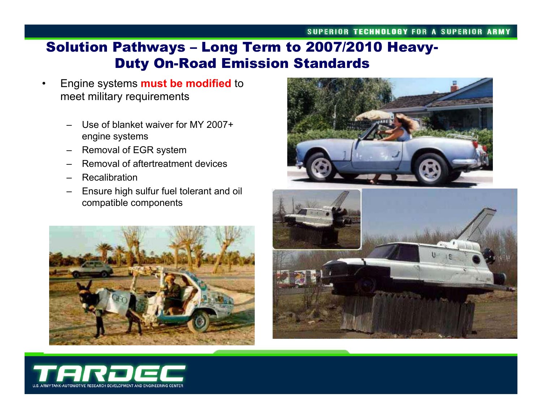## Solution Pathways – Long Term to 2007/2010 Heavy-Duty On-Road Emission Standards

- • Engine systems **must be modified** to meet military requirements
	- Use of blanket waiver for MY 2007+ engine systems
	- Removal of EGR system
	- Removal of aftertreatment devices
	- Recalibration
	- Ensure high sulfur fuel tolerant and oil compatible components